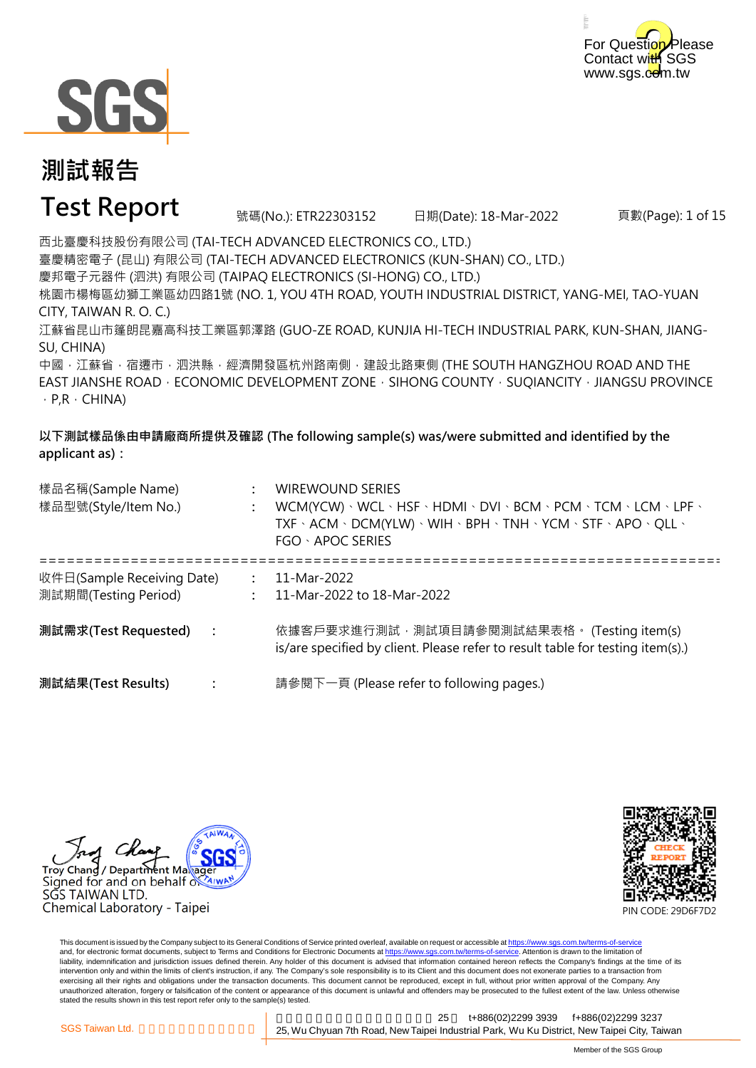



#### **Test Report**

號碼(No.): ETR22303152 日期(Date): 18-Mar-2022

頁數(Page): 1 of 15

西北臺慶科技股份有限公司 (TAI-TECH ADVANCED ELECTRONICS CO., LTD.) 臺慶精密電子 (昆山) 有限公司 (TAI-TECH ADVANCED ELECTRONICS (KUN-SHAN) CO., LTD.) 慶邦電子元器件 (泗洪) 有限公司 (TAIPAQ ELECTRONICS (SI-HONG) CO., LTD.) 桃園市楊梅區幼獅工業區幼四路1號 (NO. 1, YOU 4TH ROAD, YOUTH INDUSTRIAL DISTRICT, YANG-MEI, TAO-YUAN CITY, TAIWAN R. O. C.)

江蘇省昆山市篷朗昆嘉高科技工業區郭澤路 (GUO-ZE ROAD, KUNJIA HI-TECH INDUSTRIAL PARK, KUN-SHAN, JIANG-SU, CHINA)

中國,江蘇省,宿遷市,泗洪縣,經濟開發區杭州路南側,建設北路東側 (THE SOUTH HANGZHOU ROAD AND THE EAST JIANSHE ROAD  $\cdot$  ECONOMIC DEVELOPMENT ZONE  $\cdot$  SIHONG COUNTY  $\cdot$  SUQIANCITY  $\cdot$  JIANGSU PROVINCE  $\cdot$  P,R  $\cdot$  CHINA)

**以下測試樣品係由申請廠商所提供及確認 (The following sample(s) was/were submitted and identified by the applicant as):**

| 樣品名稱(Sample Name)<br>樣品型號(Style/Item No.)          | <b>WIREWOUND SERIES</b><br>WCM(YCW) · WCL · HSF · HDMI · DVI · BCM · PCM · TCM · LCM · LPF ·<br>TXF · ACM · DCM(YLW) · WIH · BPH · TNH · YCM · STF · APO · QLL ·<br>FGO · APOC SERIES |
|----------------------------------------------------|---------------------------------------------------------------------------------------------------------------------------------------------------------------------------------------|
| 收件日(Sample Receiving Date)<br>測試期間(Testing Period) | 11-Mar-2022<br>11-Mar-2022 to 18-Mar-2022                                                                                                                                             |
| 測試需求(Test Requested)  :                            | 依據客戶要求進行測試, 測試項目請參閱測試結果表格。 (Testing item(s)<br>is/are specified by client. Please refer to result table for testing item(s).)                                                         |
| 測試結果(Test Results)                                 | 請參閱下一頁 (Please refer to following pages.)                                                                                                                                             |

Trov Chand / Department Maxage Signed for and on behalf of AIWI SĞS TAIWAN LTD. Chemical Laboratory - Taipei



This document is issued by the Company subject to its General Conditions of Service printed overleaf, available on request or accessible at https://www.sgs.com.tw/terms-of-service and, for electronic format documents, subject to Terms and Conditions for Electronic Documents at https://www.sgs.com.tw/terms-of-service. Attention is drawn to the limitation of liability, indemnification and jurisdiction issues defined therein. Any holder of this document is advised that information contained hereon reflects the Company's findings at the time of its intervention only and within the limits of client's instruction, if any. The Company's sole responsibility is to its Client and this document does not exonerate parties to a transaction from exercising all their rights and obligations under the transaction documents. This document cannot be reproduced, except in full, without prior written approval of the Company. Any<br>unauthorized alteration, forgery or falsif stated the results shown in this test report refer only to the sample(s) tested.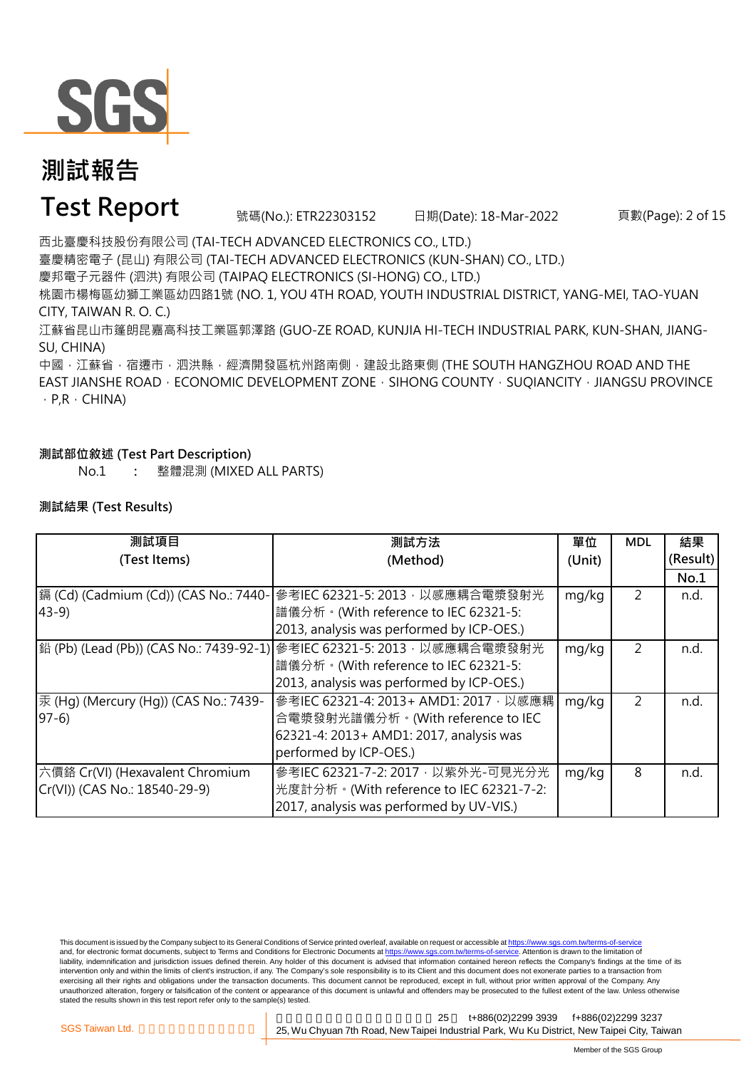

### **Test Report** 號碼(No.): ETR22303152 日期(Date): 18-Mar-2022

頁數(Page): 2 of 15

西北臺慶科技股份有限公司 (TAI-TECH ADVANCED ELECTRONICS CO., LTD.)

臺慶精密電子 (昆山) 有限公司 (TAI-TECH ADVANCED ELECTRONICS (KUN-SHAN) CO., LTD.)

慶邦電子元器件 (泗洪) 有限公司 (TAIPAQ ELECTRONICS (SI-HONG) CO., LTD.)

桃園市楊梅區幼獅工業區幼四路1號 (NO. 1, YOU 4TH ROAD, YOUTH INDUSTRIAL DISTRICT, YANG-MEI, TAO-YUAN CITY, TAIWAN R. O. C.)

江蘇省昆山市篷朗昆嘉高科技工業區郭澤路 (GUO-ZE ROAD, KUNJIA HI-TECH INDUSTRIAL PARK, KUN-SHAN, JIANG-SU, CHINA)

中國,江蘇省,宿遷市,泗洪縣,經濟開發區杭州路南側,建設北路東側 (THE SOUTH HANGZHOU ROAD AND THE EAST JIANSHE ROAD · ECONOMIC DEVELOPMENT ZONE · SIHONG COUNTY · SUQIANCITY · JIANGSU PROVINCE  $\cdot$  P,R  $\cdot$  CHINA)

#### **測試部位敘述 (Test Part Description)**

No.1 **:** 整體混測 (MIXED ALL PARTS)

#### **測試結果 (Test Results)**

| 測試項目                                  | 測試方法                                                                    | 單位     | <b>MDL</b> | 結果       |
|---------------------------------------|-------------------------------------------------------------------------|--------|------------|----------|
| (Test Items)                          | (Method)                                                                | (Unit) |            | (Result) |
|                                       |                                                                         |        |            | No.1     |
| 鎘 (Cd) (Cadmium (Cd)) (CAS No.: 7440- | 參考IEC 62321-5: 2013, 以感應耦合電漿發射光                                         | mg/kg  | 2          | n.d.     |
| $43-9$                                | 譜儀分析。(With reference to IEC 62321-5:                                    |        |            |          |
|                                       | 2013, analysis was performed by ICP-OES.)                               |        |            |          |
|                                       | 鉛 (Pb) (Lead (Pb)) (CAS No.: 7439-92-1) 參考IEC 62321-5: 2013, 以感應耦合電漿發射光 | mg/kg  | 2          | n.d.     |
|                                       | 譜儀分析。(With reference to IEC 62321-5:                                    |        |            |          |
|                                       | 2013, analysis was performed by ICP-OES.)                               |        |            |          |
| 汞 (Hg) (Mercury (Hg)) (CAS No.: 7439- | 参考IEC 62321-4: 2013+ AMD1: 2017, 以感應耦                                   | mg/kg  | 2          | n.d.     |
| $97-6$                                | 合電漿發射光譜儀分析。(With reference to IEC                                       |        |            |          |
|                                       | 62321-4: 2013+ AMD1: 2017, analysis was                                 |        |            |          |
|                                       | performed by ICP-OES.)                                                  |        |            |          |
| 六價鉻 Cr(VI) (Hexavalent Chromium       | 參考IEC 62321-7-2: 2017, 以紫外光-可見光分光                                       | mg/kg  | 8          | n.d.     |
| Cr(VI)) (CAS No.: 18540-29-9)         | 光度計分析。(With reference to IEC 62321-7-2:                                 |        |            |          |
|                                       | 2017, analysis was performed by UV-VIS.)                                |        |            |          |

This document is issued by the Company subject to its General Conditions of Service printed overleaf, available on request or accessible at https://www.sgs.com.tw/terms-of-service and, for electronic format documents, subject to Terms and Conditions for Electronic Documents at https://www.sgs.com.tw/terms-of-service. Attention is drawn to the limitation of liability, indemnification and jurisdiction issues defined therein. Any holder of this document is advised that information contained hereon reflects the Company's findings at the time of its intervention only and within the limits of client's instruction, if any. The Company's sole responsibility is to its Client and this document does not exonerate parties to a transaction from exercising all their rights and obligations under the transaction documents. This document cannot be reproduced, except in full, without prior written approval of the Company. Any<br>unauthorized alteration, forgery or falsif stated the results shown in this test report refer only to the sample(s) tested.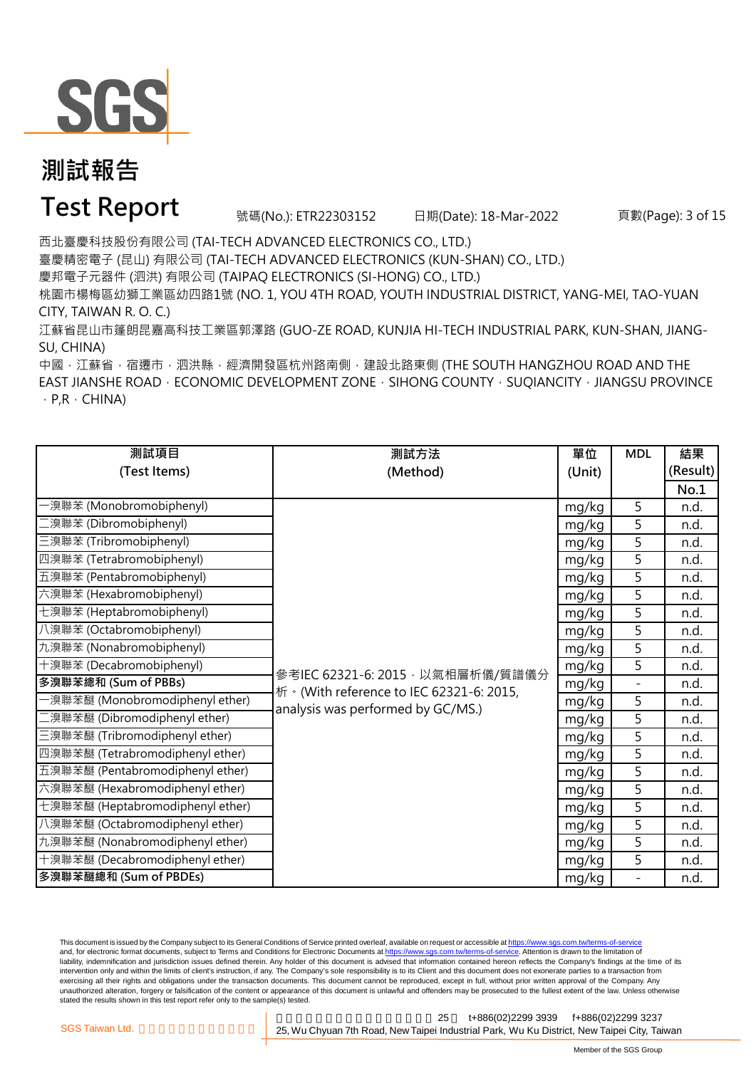

### **Test Report** 號碼(No.): ETR22303152 日期(Date): 18-Mar-2022

頁數(Page): 3 of 15

西北臺慶科技股份有限公司 (TAI-TECH ADVANCED ELECTRONICS CO., LTD.)

臺慶精密電子 (昆山) 有限公司 (TAI-TECH ADVANCED ELECTRONICS (KUN-SHAN) CO., LTD.)

慶邦電子元器件 (泗洪) 有限公司 (TAIPAQ ELECTRONICS (SI-HONG) CO., LTD.)

桃園市楊梅區幼獅工業區幼四路1號 (NO. 1, YOU 4TH ROAD, YOUTH INDUSTRIAL DISTRICT, YANG-MEI, TAO-YUAN CITY, TAIWAN R. O. C.)

江蘇省昆山市篷朗昆嘉高科技工業區郭澤路 (GUO-ZE ROAD, KUNJIA HI-TECH INDUSTRIAL PARK, KUN-SHAN, JIANG-SU, CHINA)

中國,江蘇省,宿遷市,泗洪縣,經濟開發區杭州路南側,建設北路東側 (THE SOUTH HANGZHOU ROAD AND THE EAST JIANSHE ROAD · ECONOMIC DEVELOPMENT ZONE · SIHONG COUNTY · SUQIANCITY · JIANGSU PROVINCE  $\cdot$  P,R  $\cdot$  CHINA)

| 測試項目                             | 測試方法                                      | 單位     | <b>MDL</b> | 結果       |
|----------------------------------|-------------------------------------------|--------|------------|----------|
| (Test Items)                     | (Method)                                  | (Unit) |            | (Result) |
|                                  |                                           |        |            | No.1     |
| ·溴聯苯 (Monobromobiphenyl)         |                                           | mg/kg  | 5          | n.d.     |
| 二溴聯苯 (Dibromobiphenyl)           |                                           | mg/kg  | 5          | n.d.     |
| 三溴聯苯 (Tribromobiphenyl)          |                                           | mg/kg  | 5          | n.d.     |
| 四溴聯苯 (Tetrabromobiphenyl)        |                                           | mg/kg  | 5          | n.d.     |
| 五溴聯苯 (Pentabromobiphenyl)        |                                           | mg/kg  | 5          | n.d.     |
| 六溴聯苯 (Hexabromobiphenyl)         |                                           | mg/kg  | 5          | n.d.     |
| 七溴聯苯 (Heptabromobiphenyl)        |                                           | mg/kg  | 5          | n.d.     |
| 八溴聯苯 (Octabromobiphenyl)         |                                           | mg/kg  | 5          | n.d.     |
| 九溴聯苯 (Nonabromobiphenyl)         |                                           | mg/kg  | 5          | n.d.     |
| 十溴聯苯 (Decabromobiphenyl)         | 參考IEC 62321-6: 2015, 以氣相層析儀/質譜儀分          | mg/kg  | 5          | n.d.     |
| 多溴聯苯總和 (Sum of PBBs)             | 析 · (With reference to IEC 62321-6: 2015, | mg/kg  | $\bar{ }$  | n.d.     |
| -溴聯苯醚 (Monobromodiphenyl ether)  | analysis was performed by GC/MS.)         | mg/kg  | 5          | n.d.     |
| 二溴聯苯醚 (Dibromodiphenyl ether)    |                                           | mg/kg  | 5          | n.d.     |
| 三溴聯苯醚 (Tribromodiphenyl ether)   |                                           | mg/kg  | 5          | n.d.     |
| 四溴聯苯醚 (Tetrabromodiphenyl ether) |                                           | mg/kg  | 5          | n.d.     |
| 五溴聯苯醚 (Pentabromodiphenyl ether) |                                           | mg/kg  | 5          | n.d.     |
| 六溴聯苯醚 (Hexabromodiphenyl ether)  |                                           | mg/kg  | 5          | n.d.     |
| 七溴聯苯醚 (Heptabromodiphenyl ether) |                                           | mg/kg  | 5          | n.d.     |
| 八溴聯苯醚 (Octabromodiphenyl ether)  |                                           | mg/kg  | 5          | n.d.     |
| 九溴聯苯醚 (Nonabromodiphenyl ether)  |                                           | mg/kg  | 5          | n.d.     |
| 十溴聯苯醚 (Decabromodiphenyl ether)  |                                           | mg/kg  | 5          | n.d.     |
| 多溴聯苯醚總和 (Sum of PBDEs)           |                                           | mg/kg  | $\bar{ }$  | n.d.     |

This document is issued by the Company subject to its General Conditions of Service printed overleaf, available on request or accessible at https://www.sgs.com.tw/terms-of-service and, for electronic format documents, subject to Terms and Conditions for Electronic Documents at https://www.sgs.com.tw/terms-of-service. Attention is drawn to the limitation of liability, indemnification and jurisdiction issues defined therein. Any holder of this document is advised that information contained hereon reflects the Company's findings at the time of its intervention only and within the limits of client's instruction, if any. The Company's sole responsibility is to its Client and this document does not exonerate parties to a transaction from exercising all their rights and obligations under the transaction documents. This document cannot be reproduced, except in full, without prior written approval of the Company. Any<br>unauthorized alteration, forgery or falsif stated the results shown in this test report refer only to the sample(s) tested.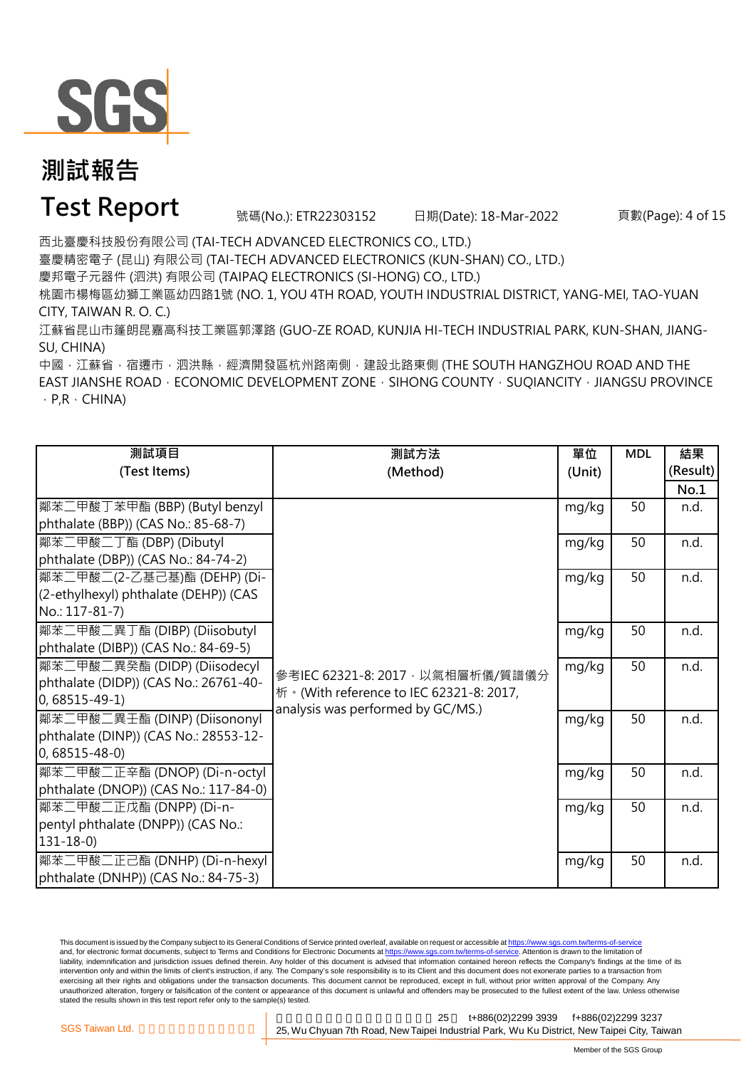

### **Test Report** 號碼(No.): ETR22303152 日期(Date): 18-Mar-2022

頁數(Page): 4 of 15

西北臺慶科技股份有限公司 (TAI-TECH ADVANCED ELECTRONICS CO., LTD.)

臺慶精密電子 (昆山) 有限公司 (TAI-TECH ADVANCED ELECTRONICS (KUN-SHAN) CO., LTD.)

慶邦電子元器件 (泗洪) 有限公司 (TAIPAQ ELECTRONICS (SI-HONG) CO., LTD.)

桃園市楊梅區幼獅工業區幼四路1號 (NO. 1, YOU 4TH ROAD, YOUTH INDUSTRIAL DISTRICT, YANG-MEI, TAO-YUAN CITY, TAIWAN R. O. C.)

江蘇省昆山市篷朗昆嘉高科技工業區郭澤路 (GUO-ZE ROAD, KUNJIA HI-TECH INDUSTRIAL PARK, KUN-SHAN, JIANG-SU, CHINA)

中國,江蘇省,宿遷市,泗洪縣,經濟開發區杭州路南側,建設北路東側 (THE SOUTH HANGZHOU ROAD AND THE EAST JIANSHE ROAD · ECONOMIC DEVELOPMENT ZONE · SIHONG COUNTY · SUQIANCITY · JIANGSU PROVINCE  $\cdot$  P,R  $\cdot$  CHINA)

| 測試項目                                  | 測試方法                                      | 單位     | <b>MDL</b> | 結果       |
|---------------------------------------|-------------------------------------------|--------|------------|----------|
| (Test Items)                          | (Method)                                  | (Unit) |            | (Result) |
|                                       |                                           |        |            | No.1     |
| 鄰苯二甲酸丁苯甲酯 (BBP) (Butyl benzyl         |                                           | mg/kg  | 50         | n.d.     |
| phthalate (BBP)) (CAS No.: 85-68-7)   |                                           |        |            |          |
| 鄰苯二甲酸二丁酯 (DBP) (Dibutyl               |                                           | mg/kg  | 50         | n.d.     |
| phthalate (DBP)) (CAS No.: 84-74-2)   |                                           |        |            |          |
| 鄰苯二甲酸二(2-乙基己基)酯 (DEHP) (Di-           |                                           | mg/kg  | 50         | n.d.     |
| (2-ethylhexyl) phthalate (DEHP)) (CAS |                                           |        |            |          |
| No.: 117-81-7)                        |                                           |        |            |          |
| 鄰苯二甲酸二異丁酯 (DIBP) (Diisobutyl          |                                           | mg/kg  | 50         | n.d.     |
| phthalate (DIBP)) (CAS No.: 84-69-5)  |                                           |        |            |          |
| 鄰苯二甲酸二異癸酯 (DIDP) (Diisodecyl          | 參考IEC 62321-8: 2017, 以氣相層析儀/質譜儀分          | mg/kg  | 50         | n.d.     |
| phthalate (DIDP)) (CAS No.: 26761-40- | 析 · (With reference to IEC 62321-8: 2017, |        |            |          |
| $0,68515 - 49 - 1)$                   | analysis was performed by GC/MS.)         |        |            |          |
| 鄰苯二甲酸二異壬酯 (DINP) (Diisononyl          |                                           | mg/kg  | 50         | n.d.     |
| phthalate (DINP)) (CAS No.: 28553-12- |                                           |        |            |          |
| $0,68515 - 48 - 0$                    |                                           |        |            |          |
| 鄰苯二甲酸二正辛酯 (DNOP) (Di-n-octyl          |                                           | mg/kg  | 50         | n.d.     |
| phthalate (DNOP)) (CAS No.: 117-84-0) |                                           |        |            |          |
| 鄰苯二甲酸二正戊酯 (DNPP) (Di-n-               |                                           | mg/kg  | 50         | n.d.     |
| pentyl phthalate (DNPP)) (CAS No.:    |                                           |        |            |          |
| $131 - 18 - 0$                        |                                           |        |            |          |
| 鄰苯二甲酸二正己酯 (DNHP) (Di-n-hexyl          |                                           | mg/kg  | 50         | n.d.     |
| phthalate (DNHP)) (CAS No.: 84-75-3)  |                                           |        |            |          |

This document is issued by the Company subject to its General Conditions of Service printed overleaf, available on request or accessible at https://www.sgs.com.tw/terms-of-service and, for electronic format documents, subject to Terms and Conditions for Electronic Documents at https://www.sgs.com.tw/terms-of-service. Attention is drawn to the limitation of liability, indemnification and jurisdiction issues defined therein. Any holder of this document is advised that information contained hereon reflects the Company's findings at the time of its intervention only and within the limits of client's instruction, if any. The Company's sole responsibility is to its Client and this document does not exonerate parties to a transaction from exercising all their rights and obligations under the transaction documents. This document cannot be reproduced, except in full, without prior written approval of the Company. Any<br>unauthorized alteration, forgery or falsif stated the results shown in this test report refer only to the sample(s) tested.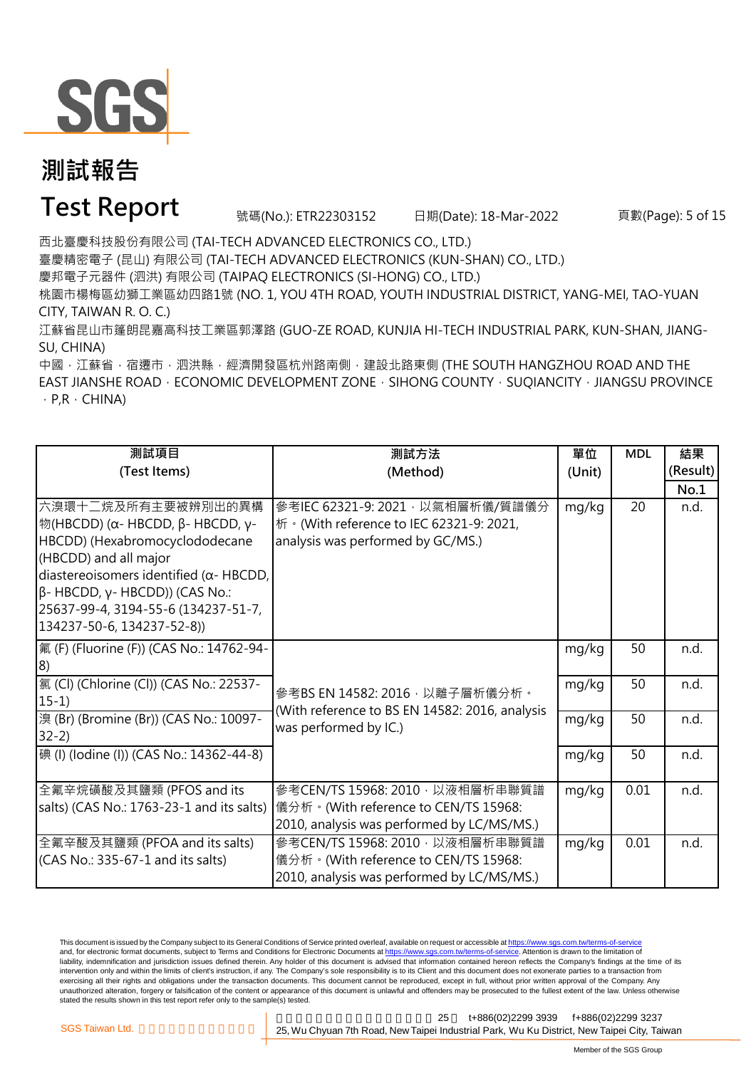

### **Test Report** 號碼(No.): ETR22303152 日期(Date): 18-Mar-2022

頁數(Page): 5 of 15

西北臺慶科技股份有限公司 (TAI-TECH ADVANCED ELECTRONICS CO., LTD.)

臺慶精密電子 (昆山) 有限公司 (TAI-TECH ADVANCED ELECTRONICS (KUN-SHAN) CO., LTD.)

慶邦電子元器件 (泗洪) 有限公司 (TAIPAQ ELECTRONICS (SI-HONG) CO., LTD.)

桃園市楊梅區幼獅工業區幼四路1號 (NO. 1, YOU 4TH ROAD, YOUTH INDUSTRIAL DISTRICT, YANG-MEI, TAO-YUAN CITY, TAIWAN R. O. C.)

江蘇省昆山市篷朗昆嘉高科技工業區郭澤路 (GUO-ZE ROAD, KUNJIA HI-TECH INDUSTRIAL PARK, KUN-SHAN, JIANG-SU, CHINA)

中國,江蘇省,宿遷市,泗洪縣,經濟開發區杭州路南側,建設北路東側 (THE SOUTH HANGZHOU ROAD AND THE EAST JIANSHE ROAD · ECONOMIC DEVELOPMENT ZONE · SIHONG COUNTY · SUQIANCITY · JIANGSU PROVINCE  $\cdot$  P,R  $\cdot$  CHINA)

| 測試項目                                                                                                                                                                                                                                                                                    | 測試方法                                                                                                                  | 單位     | <b>MDL</b> | 結果       |
|-----------------------------------------------------------------------------------------------------------------------------------------------------------------------------------------------------------------------------------------------------------------------------------------|-----------------------------------------------------------------------------------------------------------------------|--------|------------|----------|
| (Test Items)                                                                                                                                                                                                                                                                            | (Method)                                                                                                              | (Unit) |            | (Result) |
|                                                                                                                                                                                                                                                                                         |                                                                                                                       |        |            | No.1     |
| ┃六溴環十二烷及所有主要被辨別出的異構<br>$ $ 物(HBCDD) (α- HBCDD, β- HBCDD, γ-<br>HBCDD) (Hexabromocyclododecane<br>(HBCDD) and all major<br>diastereoisomers identified ( $\alpha$ - HBCDD,<br>$\beta$ - HBCDD, γ- HBCDD)) (CAS No.:<br>25637-99-4, 3194-55-6 (134237-51-7,<br>134237-50-6, 134237-52-8)) | 參考IEC 62321-9: 2021, 以氣相層析儀/質譜儀分<br>桥 · (With reference to IEC 62321-9: 2021,<br>analysis was performed by GC/MS.)    | mg/kg  | 20         | n.d.     |
| 氟 (F) (Fluorine (F)) (CAS No.: 14762-94-<br> 8)                                                                                                                                                                                                                                         |                                                                                                                       | mg/kg  | 50         | n.d.     |
| [氯 (Cl) (Chlorine (Cl)) (CAS No.: 22537-<br>$15-1)$                                                                                                                                                                                                                                     | 參考BS EN 14582: 2016, 以離子層析儀分析。                                                                                        | mg/kg  | 50         | n.d.     |
| 澳 (Br) (Bromine (Br)) (CAS No.: 10097-<br>$32-2)$                                                                                                                                                                                                                                       | (With reference to BS EN 14582: 2016, analysis<br>was performed by IC.)                                               | mg/kg  | 50         | n.d.     |
| 碘 (I) (lodine (I)) (CAS No.: 14362-44-8)                                                                                                                                                                                                                                                |                                                                                                                       | mg/kg  | 50         | n.d.     |
| 全氟辛烷磺酸及其鹽類 (PFOS and its<br>salts) (CAS No.: 1763-23-1 and its salts)                                                                                                                                                                                                                   | 參考CEN/TS 15968: 2010, 以液相層析串聯質譜<br>儀分析。(With reference to CEN/TS 15968:<br>2010, analysis was performed by LC/MS/MS.) | mg/kg  | 0.01       | n.d.     |
| 全氟辛酸及其鹽類 (PFOA and its salts)<br>(CAS No.: 335-67-1 and its salts)                                                                                                                                                                                                                      | 參考CEN/TS 15968: 2010, 以液相層析串聯質譜<br>儀分析。(With reference to CEN/TS 15968:<br>2010, analysis was performed by LC/MS/MS.) | mg/kg  | 0.01       | n.d.     |

This document is issued by the Company subject to its General Conditions of Service printed overleaf, available on request or accessible at https://www.sgs.com.tw/terms-of-service and, for electronic format documents, subject to Terms and Conditions for Electronic Documents at https://www.sgs.com.tw/terms-of-service. Attention is drawn to the limitation of liability, indemnification and jurisdiction issues defined therein. Any holder of this document is advised that information contained hereon reflects the Company's findings at the time of its intervention only and within the limits of client's instruction, if any. The Company's sole responsibility is to its Client and this document does not exonerate parties to a transaction from exercising all their rights and obligations under the transaction documents. This document cannot be reproduced, except in full, without prior written approval of the Company. Any<br>unauthorized alteration, forgery or falsif stated the results shown in this test report refer only to the sample(s) tested.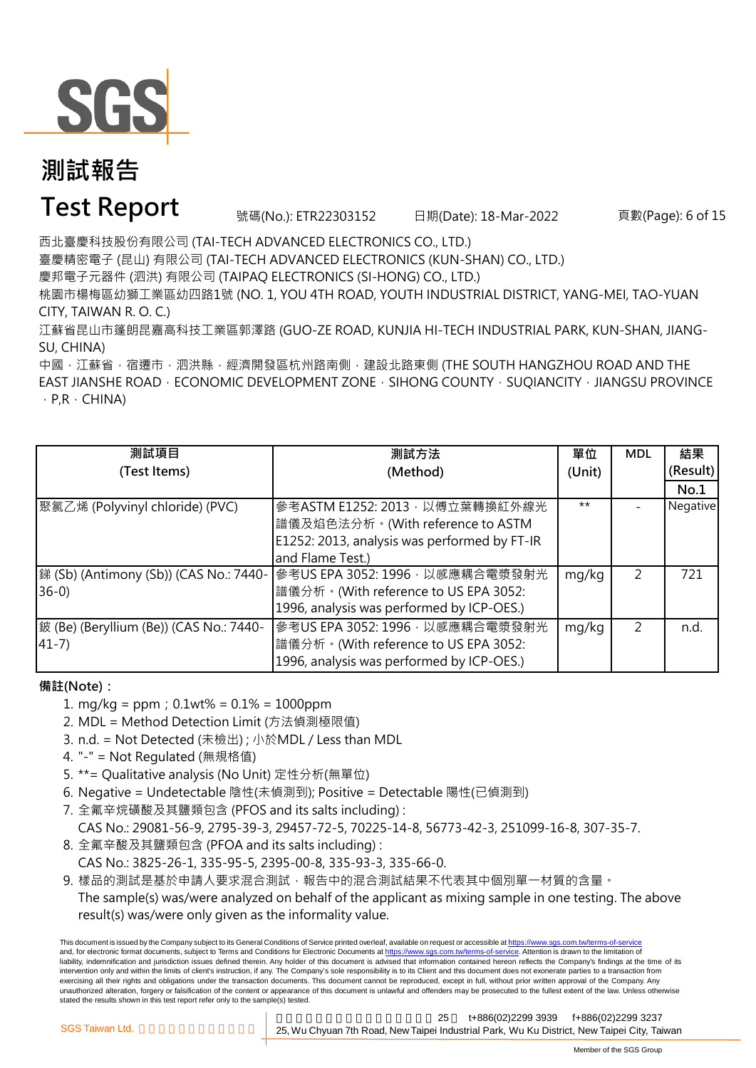

### **Test Report** 號碼(No.): ETR22303152 日期(Date): 18-Mar-2022

頁數(Page): 6 of 15

西北臺慶科技股份有限公司 (TAI-TECH ADVANCED ELECTRONICS CO., LTD.)

臺慶精密電子 (昆山) 有限公司 (TAI-TECH ADVANCED ELECTRONICS (KUN-SHAN) CO., LTD.)

慶邦電子元器件 (泗洪) 有限公司 (TAIPAQ ELECTRONICS (SI-HONG) CO., LTD.)

桃園市楊梅區幼獅工業區幼四路1號 (NO. 1, YOU 4TH ROAD, YOUTH INDUSTRIAL DISTRICT, YANG-MEI, TAO-YUAN CITY, TAIWAN R. O. C.)

江蘇省昆山市篷朗昆嘉高科技工業區郭澤路 (GUO-ZE ROAD, KUNJIA HI-TECH INDUSTRIAL PARK, KUN-SHAN, JIANG-SU, CHINA)

中國,江蘇省,宿遷市,泗洪縣,經濟開發區杭州路南側,建設北路東側 (THE SOUTH HANGZHOU ROAD AND THE EAST JIANSHE ROAD · ECONOMIC DEVELOPMENT ZONE · SIHONG COUNTY · SUQIANCITY · JIANGSU PROVINCE  $\cdot$  P,R  $\cdot$  CHINA)

| 測試項目                                    | 測試方法                                         | 單位     | <b>MDL</b>    | 結果       |
|-----------------------------------------|----------------------------------------------|--------|---------------|----------|
| (Test Items)                            | (Method)                                     | (Unit) |               | (Result) |
|                                         |                                              |        |               | No.1     |
| 聚氯乙烯 (Polyvinyl chloride) (PVC)         | 參考ASTM E1252: 2013, 以傅立葉轉換紅外線光               | $***$  |               | Negative |
|                                         | 譜儀及焰色法分析。(With reference to ASTM             |        |               |          |
|                                         | E1252: 2013, analysis was performed by FT-IR |        |               |          |
|                                         | and Flame Test.)                             |        |               |          |
| 銻 (Sb) (Antimony (Sb)) (CAS No.: 7440-  | 參考US EPA 3052: 1996 · 以感應耦合電漿發射光             | mg/kg  | 2             | 721      |
| $36-0$                                  | 譜儀分析。(With reference to US EPA 3052:         |        |               |          |
|                                         | 1996, analysis was performed by ICP-OES.)    |        |               |          |
| 鈹 (Be) (Beryllium (Be)) (CAS No.: 7440- | 參考US EPA 3052: 1996, 以感應耦合電漿發射光              | mg/kg  | $\mathcal{P}$ | n.d.     |
| $41 - 7$                                | 譜儀分析。(With reference to US EPA 3052:         |        |               |          |
|                                         | 1996, analysis was performed by ICP-OES.)    |        |               |          |

#### **備註(Note):**

- 1. mg/kg = ppm;0.1wt% = 0.1% = 1000ppm
- 2. MDL = Method Detection Limit (方法偵測極限值)
- 3. n.d. = Not Detected (未檢出) ; 小於MDL / Less than MDL
- 4. "-" = Not Regulated (無規格值)
- 5. \*\*= Qualitative analysis (No Unit) 定性分析(無單位)
- 6. Negative = Undetectable 陰性(未偵測到); Positive = Detectable 陽性(已偵測到)
- 7. 全氟辛烷磺酸及其鹽類包含 (PFOS and its salts including) :
	- CAS No.: 29081-56-9, 2795-39-3, 29457-72-5, 70225-14-8, 56773-42-3, 251099-16-8, 307-35-7.
- 8. 全氟辛酸及其鹽類包含 (PFOA and its salts including) :
- CAS No.: 3825-26-1, 335-95-5, 2395-00-8, 335-93-3, 335-66-0.
- 9. 樣品的測試是基於申請人要求混合測試,報告中的混合測試結果不代表其中個別單一材質的含量。

The sample(s) was/were analyzed on behalf of the applicant as mixing sample in one testing. The above result(s) was/were only given as the informality value.

This document is issued by the Company subject to its General Conditions of Service printed overleaf, available on request or accessible at https://www.sgs.com.tw/terms-of-service and, for electronic format documents, subject to Terms and Conditions for Electronic Documents at https://www.sgs.com.tw/terms-of-service. Attention is drawn to the limitation of liability, indemnification and jurisdiction issues defined therein. Any holder of this document is advised that information contained hereon reflects the Company's findings at the time of its intervention only and within the limits of client's instruction, if any. The Company's sole responsibility is to its Client and this document does not exonerate parties to a transaction from exercising all their rights and obligations under the transaction documents. This document cannot be reproduced, except in full, without prior written approval of the Company. Any unauthorized alteration, forgery or falsification of the content or appearance of this document is unlawful and offenders may be prosecuted to the fullest extent of the law. Unless otherwise stated the results shown in this test report refer only to the sample(s) tested.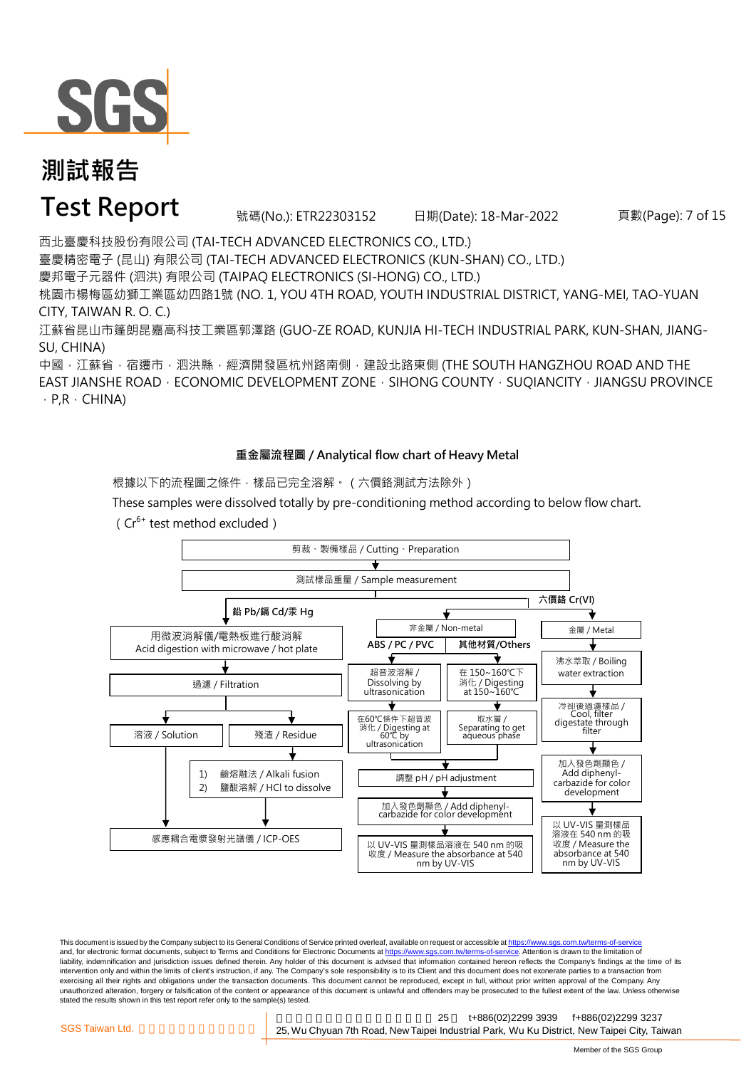

**Test Report** 號碼(No.): ETR22303152 日期(Date): 18-Mar-2022

頁數(Page): 7 of 15

西北臺慶科技股份有限公司 (TAI-TECH ADVANCED ELECTRONICS CO., LTD.) 臺慶精密電子 (昆山) 有限公司 (TAI-TECH ADVANCED ELECTRONICS (KUN-SHAN) CO., LTD.)

慶邦電子元器件 (泗洪) 有限公司 (TAIPAQ ELECTRONICS (SI-HONG) CO., LTD.)

桃園市楊梅區幼獅工業區幼四路1號 (NO. 1, YOU 4TH ROAD, YOUTH INDUSTRIAL DISTRICT, YANG-MEI, TAO-YUAN CITY, TAIWAN R. O. C.)

江蘇省昆山市篷朗昆嘉高科技工業區郭澤路 (GUO-ZE ROAD, KUNJIA HI-TECH INDUSTRIAL PARK, KUN-SHAN, JIANG-SU, CHINA)

中國,江蘇省,宿遷市,泗洪縣,經濟開發區杭州路南側,建設北路東側 (THE SOUTH HANGZHOU ROAD AND THE EAST JIANSHE ROAD  $\cdot$  ECONOMIC DEVELOPMENT ZONE  $\cdot$  SIHONG COUNTY  $\cdot$  SUQIANCITY  $\cdot$  JIANGSU PROVINCE  $\cdot$  P,R  $\cdot$  CHINA)

#### **重金屬流程圖 / Analytical flow chart of Heavy Metal**

根據以下的流程圖之條件,樣品已完全溶解。 (六價鉻測試方法除外)

These samples were dissolved totally by pre-conditioning method according to below flow chart.

( $Cr^{6+}$  test method excluded)



This document is issued by the Company subject to its General Conditions of Service printed overleaf, available on request or accessible at https://www.sgs.com.tw/terms-of-service and, for electronic format documents, subject to Terms and Conditions for Electronic Documents at https://www.sgs.com.tw/terms-of-service. Attention is drawn to the limitation of liability, indemnification and jurisdiction issues defined therein. Any holder of this document is advised that information contained hereon reflects the Company's findings at the time of its intervention only and within the limits of client's instruction, if any. The Company's sole responsibility is to its Client and this document does not exonerate parties to a transaction from exercising all their rights and obligations under the transaction documents. This document cannot be reproduced, except in full, without prior written approval of the Company. Any<br>unauthorized alteration, forgery or falsif stated the results shown in this test report refer only to the sample(s) tested.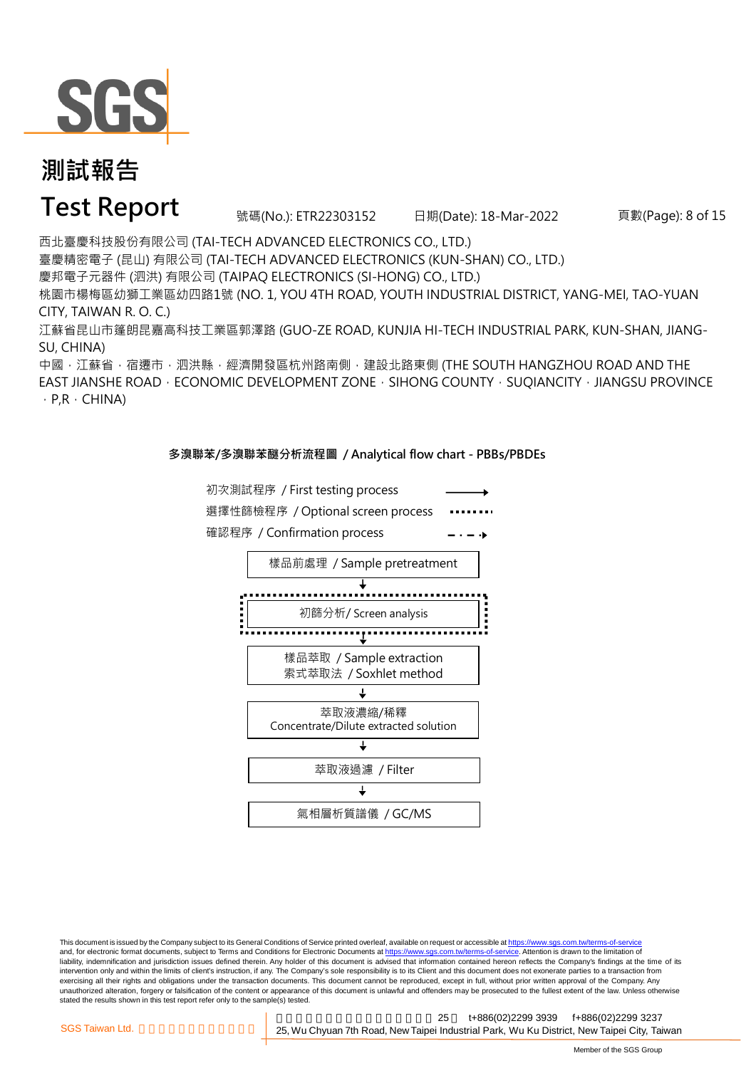

### **Test Report** 號碼(No.): ETR22303152 日期(Date): 18-Mar-2022

頁數(Page): 8 of 15

西北臺慶科技股份有限公司 (TAI-TECH ADVANCED ELECTRONICS CO., LTD.) 臺慶精密電子 (昆山) 有限公司 (TAI-TECH ADVANCED ELECTRONICS (KUN-SHAN) CO., LTD.) 慶邦電子元器件 (泗洪) 有限公司 (TAIPAQ ELECTRONICS (SI-HONG) CO., LTD.) 桃園市楊梅區幼獅工業區幼四路1號 (NO. 1, YOU 4TH ROAD, YOUTH INDUSTRIAL DISTRICT, YANG-MEI, TAO-YUAN CITY, TAIWAN R. O. C.)

江蘇省昆山市篷朗昆嘉高科技工業區郭澤路 (GUO-ZE ROAD, KUNJIA HI-TECH INDUSTRIAL PARK, KUN-SHAN, JIANG-SU, CHINA)

中國,江蘇省,宿遷市,泗洪縣,經濟開發區杭州路南側,建設北路東側 (THE SOUTH HANGZHOU ROAD AND THE EAST JIANSHE ROAD · ECONOMIC DEVELOPMENT ZONE · SIHONG COUNTY · SUQIANCITY · JIANGSU PROVINCE  $\cdot$  P,R  $\cdot$  CHINA)

#### **多溴聯苯/多溴聯苯醚分析流程圖 / Analytical flow chart - PBBs/PBDEs**



This document is issued by the Company subject to its General Conditions of Service printed overleaf, available on request or accessible at https://www.sgs.com.tw/terms-of-service and, for electronic format documents, subject to Terms and Conditions for Electronic Documents at https://www.sgs.com.tw/terms-of-service. Attention is drawn to the limitation of liability, indemnification and jurisdiction issues defined therein. Any holder of this document is advised that information contained hereon reflects the Company's findings at the time of its intervention only and within the limits of client's instruction, if any. The Company's sole responsibility is to its Client and this document does not exonerate parties to a transaction from exercising all their rights and obligations under the transaction documents. This document cannot be reproduced, except in full, without prior written approval of the Company. Any<br>unauthorized alteration, forgery or falsif stated the results shown in this test report refer only to the sample(s) tested.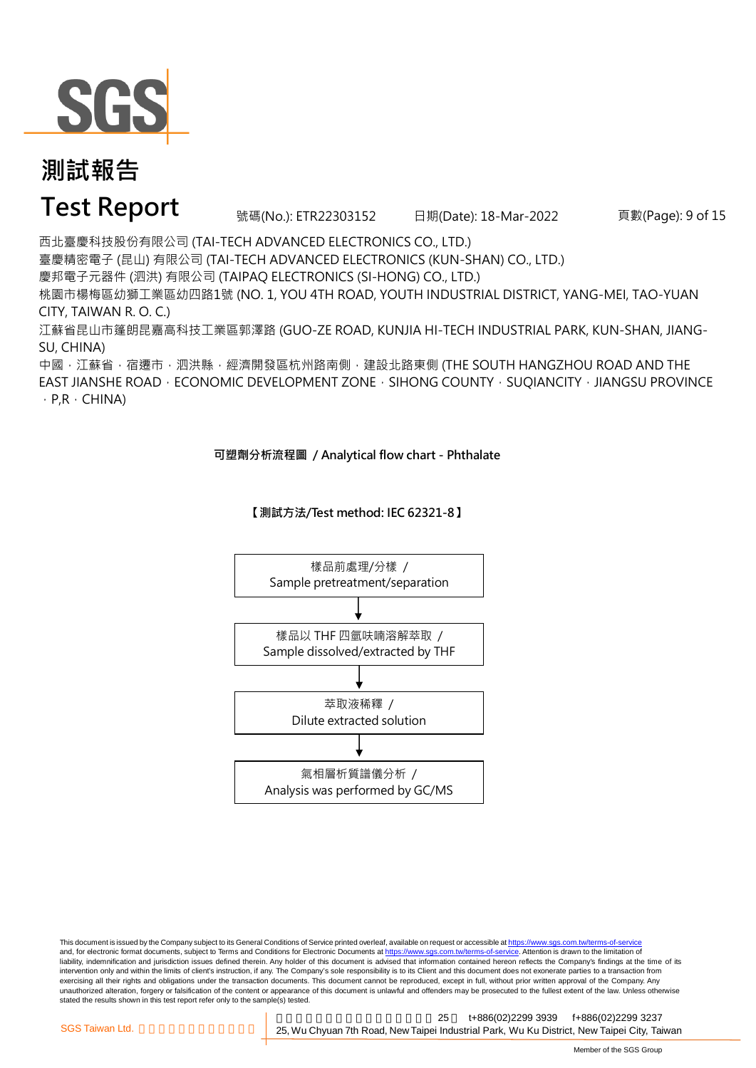

### **Test Report** 號碼(No.): ETR22303152 日期(Date): 18-Mar-2022

頁數(Page): 9 of 15

西北臺慶科技股份有限公司 (TAI-TECH ADVANCED ELECTRONICS CO., LTD.) 臺慶精密電子 (昆山) 有限公司 (TAI-TECH ADVANCED ELECTRONICS (KUN-SHAN) CO., LTD.) 慶邦電子元器件 (泗洪) 有限公司 (TAIPAQ ELECTRONICS (SI-HONG) CO., LTD.) 桃園市楊梅區幼獅工業區幼四路1號 (NO. 1, YOU 4TH ROAD, YOUTH INDUSTRIAL DISTRICT, YANG-MEI, TAO-YUAN CITY, TAIWAN R. O. C.)

江蘇省昆山市篷朗昆嘉高科技工業區郭澤路 (GUO-ZE ROAD, KUNJIA HI-TECH INDUSTRIAL PARK, KUN-SHAN, JIANG-SU, CHINA)

中國,江蘇省,宿遷市,泗洪縣,經濟開發區杭州路南側,建設北路東側 (THE SOUTH HANGZHOU ROAD AND THE EAST JIANSHE ROAD  $\cdot$  ECONOMIC DEVELOPMENT ZONE  $\cdot$  SIHONG COUNTY  $\cdot$  SUQIANCITY  $\cdot$  JIANGSU PROVINCE  $\cdot$  P,R  $\cdot$  CHINA)

#### **可塑劑分析流程圖 / Analytical flow chart - Phthalate**

**【測試方法/Test method: IEC 62321-8】**



This document is issued by the Company subject to its General Conditions of Service printed overleaf, available on request or accessible at https://www.sgs.com.tw/terms-of-service and, for electronic format documents, subject to Terms and Conditions for Electronic Documents at https://www.sgs.com.tw/terms-of-service. Attention is drawn to the limitation of liability, indemnification and jurisdiction issues defined therein. Any holder of this document is advised that information contained hereon reflects the Company's findings at the time of its intervention only and within the limits of client's instruction, if any. The Company's sole responsibility is to its Client and this document does not exonerate parties to a transaction from exercising all their rights and obligations under the transaction documents. This document cannot be reproduced, except in full, without prior written approval of the Company. Any<br>unauthorized alteration, forgery or falsif stated the results shown in this test report refer only to the sample(s) tested.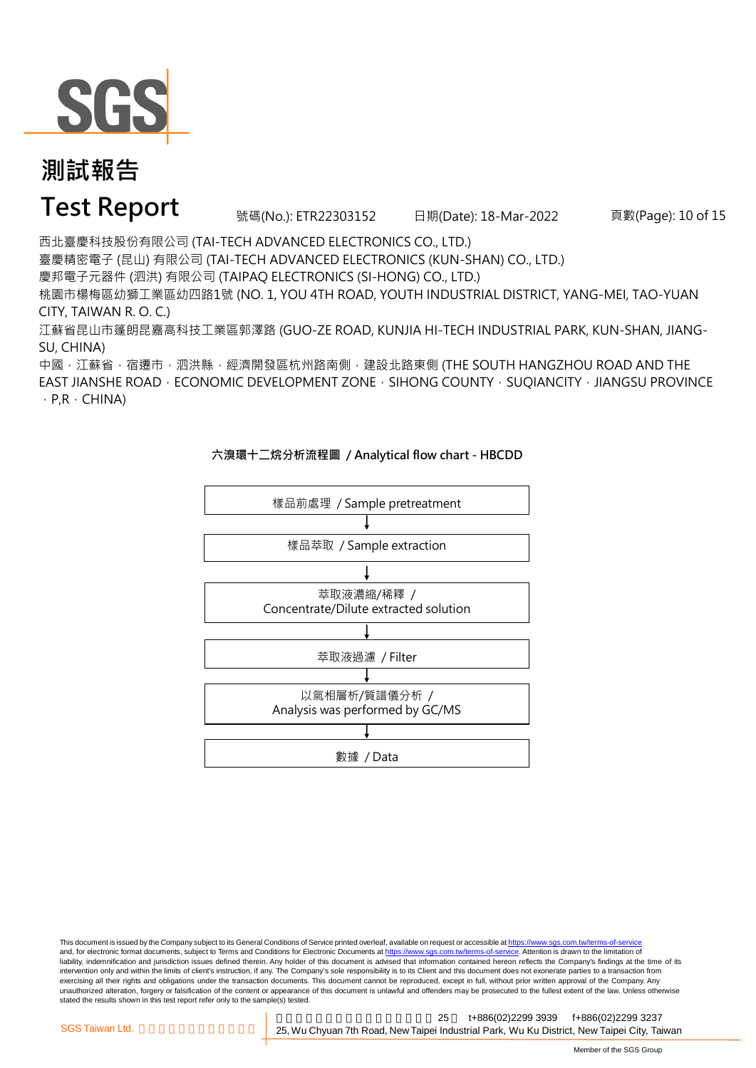

### **Test Report** 號碼(No.): ETR22303152 日期(Date): 18-Mar-2022

頁數(Page): 10 of 15

西北臺慶科技股份有限公司 (TAI-TECH ADVANCED ELECTRONICS CO., LTD.)

臺慶精密電子 (昆山) 有限公司 (TAI-TECH ADVANCED ELECTRONICS (KUN-SHAN) CO., LTD.)

慶邦電子元器件 (泗洪) 有限公司 (TAIPAQ ELECTRONICS (SI-HONG) CO., LTD.)

桃園市楊梅區幼獅工業區幼四路1號 (NO. 1, YOU 4TH ROAD, YOUTH INDUSTRIAL DISTRICT, YANG-MEI, TAO-YUAN CITY, TAIWAN R. O. C.)

江蘇省昆山市篷朗昆嘉高科技工業區郭澤路 (GUO-ZE ROAD, KUNJIA HI-TECH INDUSTRIAL PARK, KUN-SHAN, JIANG-SU, CHINA)

中國,江蘇省,宿遷市,泗洪縣,經濟開發區杭州路南側,建設北路東側 (THE SOUTH HANGZHOU ROAD AND THE EAST JIANSHE ROAD  $\cdot$  ECONOMIC DEVELOPMENT ZONE  $\cdot$  SIHONG COUNTY  $\cdot$  SUQIANCITY  $\cdot$  JIANGSU PROVINCE  $\cdot$  P,R  $\cdot$  CHINA)



#### **六溴環十二烷分析流程圖 / Analytical flow chart - HBCDD**

This document is issued by the Company subject to its General Conditions of Service printed overleaf, available on request or accessible at https://www.sgs.com.tw/terms-of-service and, for electronic format documents, subject to Terms and Conditions for Electronic Documents at https://www.sgs.com.tw/terms-of-service. Attention is drawn to the limitation of liability, indemnification and jurisdiction issues defined therein. Any holder of this document is advised that information contained hereon reflects the Company's findings at the time of its intervention only and within the limits of client's instruction, if any. The Company's sole responsibility is to its Client and this document does not exonerate parties to a transaction from exercising all their rights and obligations under the transaction documents. This document cannot be reproduced, except in full, without prior written approval of the Company. Any<br>unauthorized alteration, forgery or falsif stated the results shown in this test report refer only to the sample(s) tested.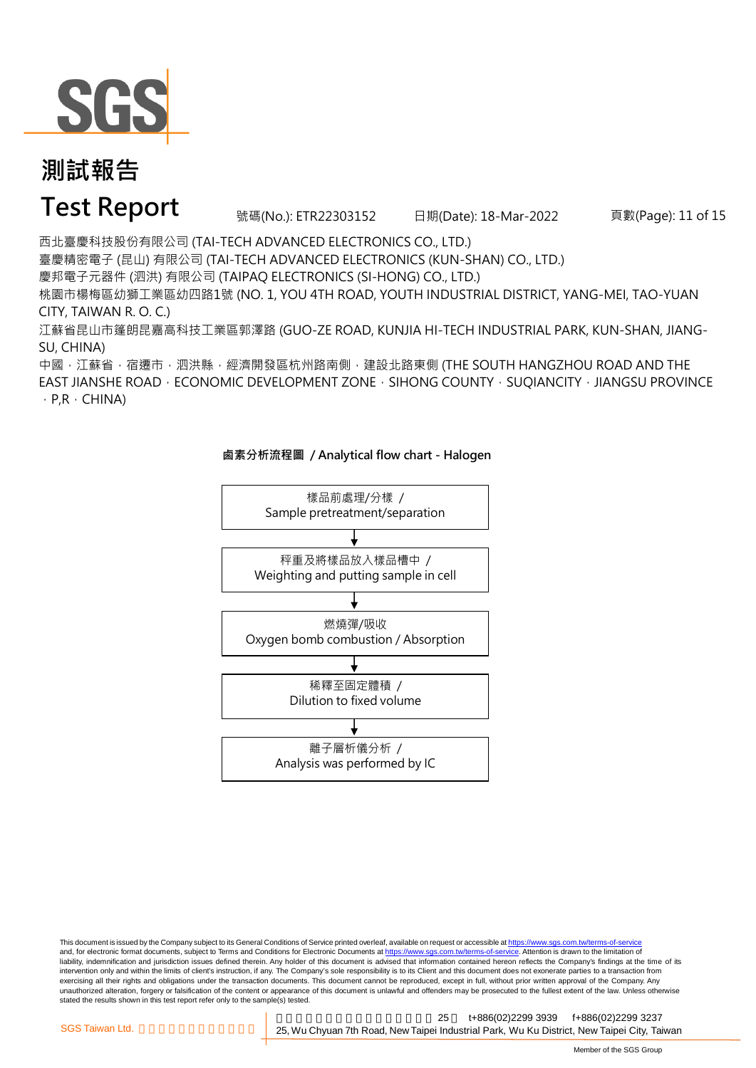

### **Test Report** 號碼(No.): ETR22303152 日期(Date): 18-Mar-2022

頁數(Page): 11 of 15

西北臺慶科技股份有限公司 (TAI-TECH ADVANCED ELECTRONICS CO., LTD.)

臺慶精密電子 (昆山) 有限公司 (TAI-TECH ADVANCED ELECTRONICS (KUN-SHAN) CO., LTD.)

慶邦電子元器件 (泗洪) 有限公司 (TAIPAQ ELECTRONICS (SI-HONG) CO., LTD.)

桃園市楊梅區幼獅工業區幼四路1號 (NO. 1, YOU 4TH ROAD, YOUTH INDUSTRIAL DISTRICT, YANG-MEI, TAO-YUAN CITY, TAIWAN R. O. C.)

江蘇省昆山市篷朗昆嘉高科技工業區郭澤路 (GUO-ZE ROAD, KUNJIA HI-TECH INDUSTRIAL PARK, KUN-SHAN, JIANG-SU, CHINA)

中國,江蘇省,宿遷市,泗洪縣,經濟開發區杭州路南側,建設北路東側 (THE SOUTH HANGZHOU ROAD AND THE EAST JIANSHE ROAD  $\cdot$  ECONOMIC DEVELOPMENT ZONE  $\cdot$  SIHONG COUNTY  $\cdot$  SUQIANCITY  $\cdot$  JIANGSU PROVINCE  $\cdot$  P,R  $\cdot$  CHINA)





This document is issued by the Company subject to its General Conditions of Service printed overleaf, available on request or accessible at https://www.sgs.com.tw/terms-of-service and, for electronic format documents, subject to Terms and Conditions for Electronic Documents at https://www.sgs.com.tw/terms-of-service. Attention is drawn to the limitation of liability, indemnification and jurisdiction issues defined therein. Any holder of this document is advised that information contained hereon reflects the Company's findings at the time of its intervention only and within the limits of client's instruction, if any. The Company's sole responsibility is to its Client and this document does not exonerate parties to a transaction from exercising all their rights and obligations under the transaction documents. This document cannot be reproduced, except in full, without prior written approval of the Company. Any<br>unauthorized alteration, forgery or falsif stated the results shown in this test report refer only to the sample(s) tested.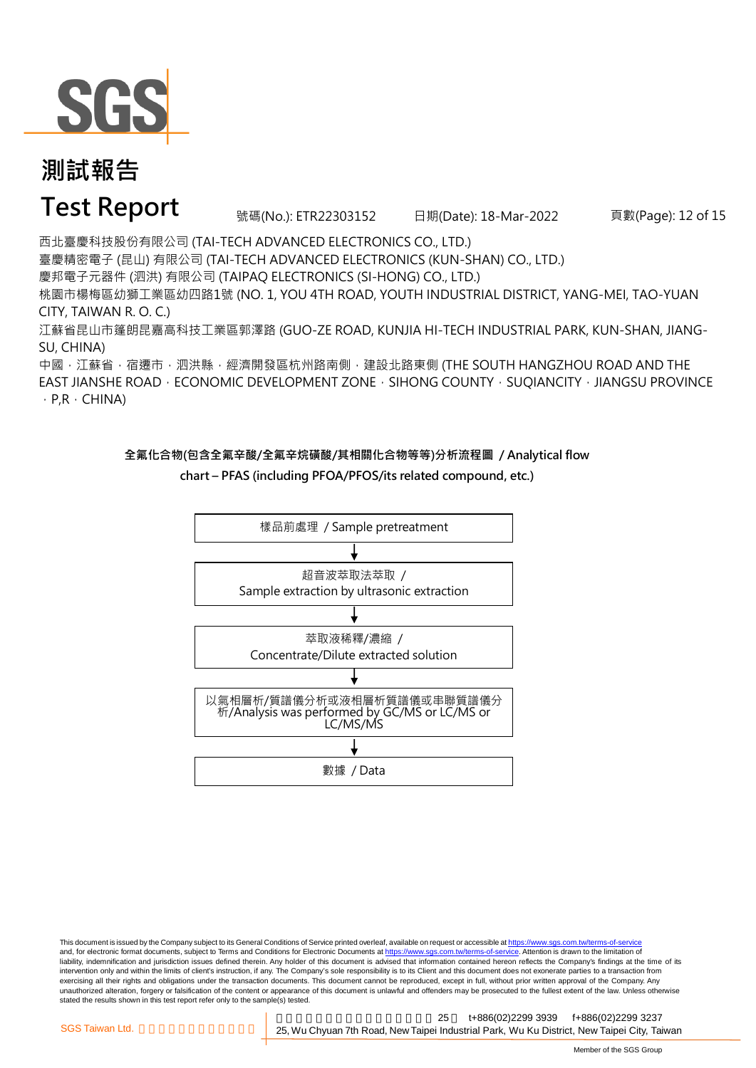

### **Test Report** 號碼(No.): ETR22303152 日期(Date): 18-Mar-2022

頁數(Page): 12 of 15

西北臺慶科技股份有限公司 (TAI-TECH ADVANCED ELECTRONICS CO., LTD.)

臺慶精密電子 (昆山) 有限公司 (TAI-TECH ADVANCED ELECTRONICS (KUN-SHAN) CO., LTD.)

慶邦電子元器件 (泗洪) 有限公司 (TAIPAQ ELECTRONICS (SI-HONG) CO., LTD.)

桃園市楊梅區幼獅工業區幼四路1號 (NO. 1, YOU 4TH ROAD, YOUTH INDUSTRIAL DISTRICT, YANG-MEI, TAO-YUAN CITY, TAIWAN R. O. C.)

江蘇省昆山市篷朗昆嘉高科技工業區郭澤路 (GUO-ZE ROAD, KUNJIA HI-TECH INDUSTRIAL PARK, KUN-SHAN, JIANG-SU, CHINA)

中國,江蘇省,宿遷市,泗洪縣,經濟開發區杭州路南側,建設北路東側 (THE SOUTH HANGZHOU ROAD AND THE EAST JIANSHE ROAD  $\cdot$  ECONOMIC DEVELOPMENT ZONE  $\cdot$  SIHONG COUNTY  $\cdot$  SUQIANCITY  $\cdot$  JIANGSU PROVINCE  $\cdot$  P,R  $\cdot$  CHINA)

#### **全氟化合物(包含全氟辛酸/全氟辛烷磺酸/其相關化合物等等)分析流程圖 / Analytical flow chart – PFAS (including PFOA/PFOS/its related compound, etc.)**



This document is issued by the Company subject to its General Conditions of Service printed overleaf, available on request or accessible at https://www.sgs.com.tw/terms-of-service and, for electronic format documents, subject to Terms and Conditions for Electronic Documents at https://www.sgs.com.tw/terms-of-service. Attention is drawn to the limitation of liability, indemnification and jurisdiction issues defined therein. Any holder of this document is advised that information contained hereon reflects the Company's findings at the time of its intervention only and within the limits of client's instruction, if any. The Company's sole responsibility is to its Client and this document does not exonerate parties to a transaction from exercising all their rights and obligations under the transaction documents. This document cannot be reproduced, except in full, without prior written approval of the Company. Any<br>unauthorized alteration, forgery or falsif stated the results shown in this test report refer only to the sample(s) tested.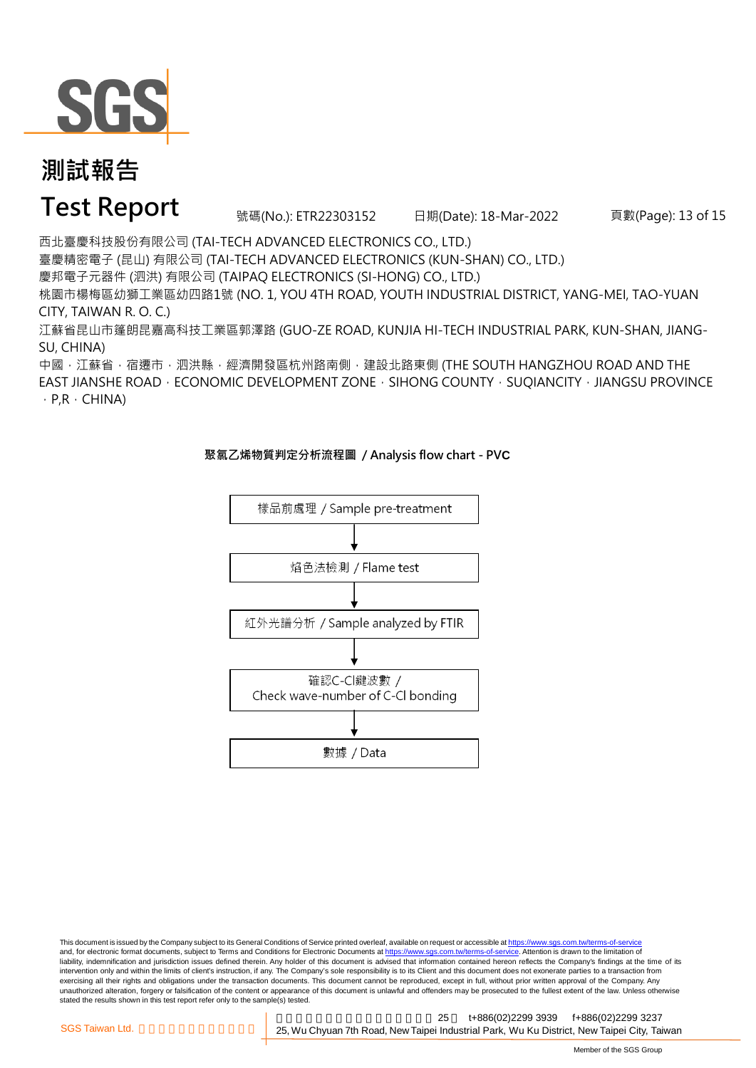

### **Test Report** 號碼(No.): ETR22303152 日期(Date): 18-Mar-2022

頁數(Page): 13 of 15

西北臺慶科技股份有限公司 (TAI-TECH ADVANCED ELECTRONICS CO., LTD.)

臺慶精密電子 (昆山) 有限公司 (TAI-TECH ADVANCED ELECTRONICS (KUN-SHAN) CO., LTD.)

慶邦電子元器件 (泗洪) 有限公司 (TAIPAQ ELECTRONICS (SI-HONG) CO., LTD.)

桃園市楊梅區幼獅工業區幼四路1號 (NO. 1, YOU 4TH ROAD, YOUTH INDUSTRIAL DISTRICT, YANG-MEI, TAO-YUAN CITY, TAIWAN R. O. C.)

江蘇省昆山市篷朗昆嘉高科技工業區郭澤路 (GUO-ZE ROAD, KUNJIA HI-TECH INDUSTRIAL PARK, KUN-SHAN, JIANG-SU, CHINA)

中國,江蘇省,宿遷市,泗洪縣,經濟開發區杭州路南側,建設北路東側 (THE SOUTH HANGZHOU ROAD AND THE EAST JIANSHE ROAD · ECONOMIC DEVELOPMENT ZONE · SIHONG COUNTY · SUQIANCITY · JIANGSU PROVINCE  $\cdot$  P,R  $\cdot$  CHINA)



#### **聚氯乙烯物質判定分析流程圖 / Analysis flow chart - PVC**

This document is issued by the Company subject to its General Conditions of Service printed overleaf, available on request or accessible at https://www.sgs.com.tw/terms-of-service and, for electronic format documents, subject to Terms and Conditions for Electronic Documents at https://www.sgs.com.tw/terms-of-service. Attention is drawn to the limitation of liability, indemnification and jurisdiction issues defined therein. Any holder of this document is advised that information contained hereon reflects the Company's findings at the time of its intervention only and within the limits of client's instruction, if any. The Company's sole responsibility is to its Client and this document does not exonerate parties to a transaction from exercising all their rights and obligations under the transaction documents. This document cannot be reproduced, except in full, without prior written approval of the Company. Any<br>unauthorized alteration, forgery or falsif stated the results shown in this test report refer only to the sample(s) tested.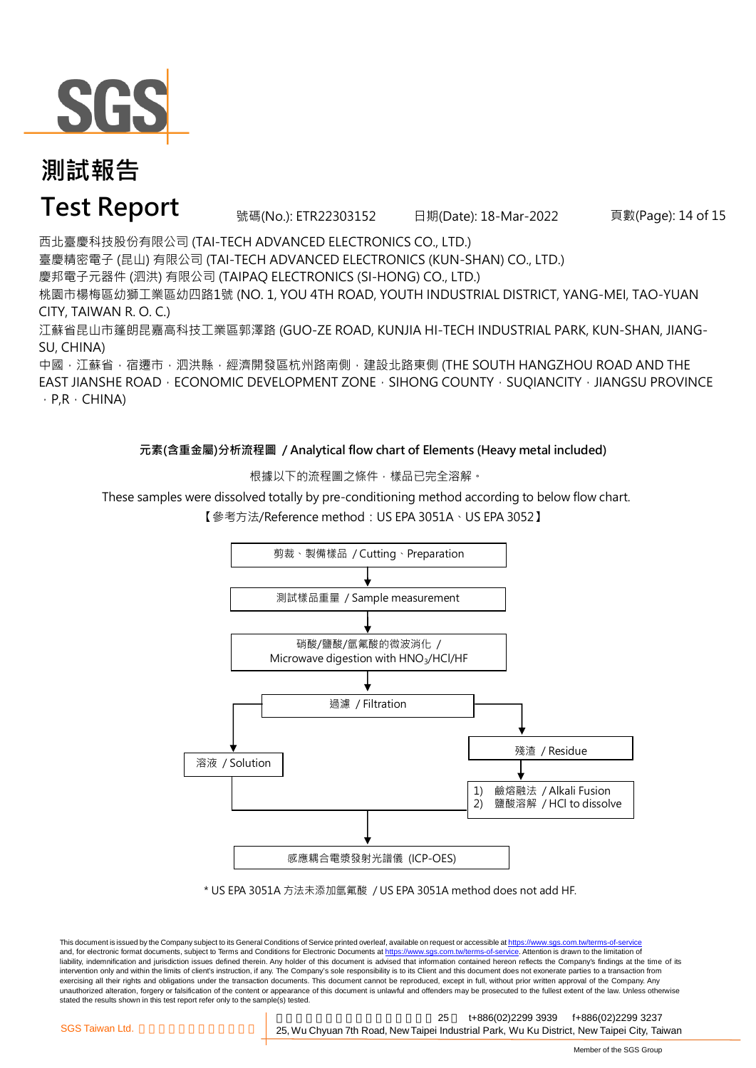

### **Test Report** 號碼(No.): ETR22303152 日期(Date): 18-Mar-2022

頁數(Page): 14 of 15

西北臺慶科技股份有限公司 (TAI-TECH ADVANCED ELECTRONICS CO., LTD.) 臺慶精密電子 (昆山) 有限公司 (TAI-TECH ADVANCED ELECTRONICS (KUN-SHAN) CO., LTD.) 慶邦電子元器件 (泗洪) 有限公司 (TAIPAQ ELECTRONICS (SI-HONG) CO., LTD.) 桃園市楊梅區幼獅工業區幼四路1號 (NO. 1, YOU 4TH ROAD, YOUTH INDUSTRIAL DISTRICT, YANG-MEI, TAO-YUAN

CITY, TAIWAN R. O. C.) 江蘇省昆山市篷朗昆嘉高科技工業區郭澤路 (GUO-ZE ROAD, KUNJIA HI-TECH INDUSTRIAL PARK, KUN-SHAN, JIANG-SU, CHINA)

中國,江蘇省,宿遷市,泗洪縣,經濟開發區杭州路南側,建設北路東側 (THE SOUTH HANGZHOU ROAD AND THE EAST JIANSHE ROAD  $\cdot$  ECONOMIC DEVELOPMENT ZONE  $\cdot$  SIHONG COUNTY  $\cdot$  SUQIANCITY  $\cdot$  JIANGSU PROVINCE  $\cdot$  P,R  $\cdot$  CHINA)

**元素(含重金屬)分析流程圖 / Analytical flow chart of Elements (Heavy metal included)**

根據以下的流程圖之條件,樣品已完全溶解。

These samples were dissolved totally by pre-conditioning method according to below flow chart.

溶液 / Solution 感應耦合電漿發射光譜儀 (ICP-OES) 硝酸/鹽酸/氫氟酸的微波消化 / Microwave digestion with HNO<sub>3</sub>/HCl/HF 過濾 / Filtration 殘渣 / Residue 1) 鹼熔融法 / Alkali Fusion 2) 鹽酸溶解 / HCl to dissolve 測試樣品重量 / Sample measurement 剪裁、製備樣品 / Cutting、Preparation

【參考方法/Reference method:US EPA 3051A、US EPA 3052】

\* US EPA 3051A 方法未添加氫氟酸 / US EPA 3051A method does not add HF.

This document is issued by the Company subject to its General Conditions of Service printed overleaf, available on request or accessible at https://www.sgs.com.tw/terms-of-service and, for electronic format documents, subject to Terms and Conditions for Electronic Documents at https://www.sgs.com.tw/terms-of-service. Attention is drawn to the limitation of liability, indemnification and jurisdiction issues defined therein. Any holder of this document is advised that information contained hereon reflects the Company's findings at the time of its intervention only and within the limits of client's instruction, if any. The Company's sole responsibility is to its Client and this document does not exonerate parties to a transaction from exercising all their rights and obligations under the transaction documents. This document cannot be reproduced, except in full, without prior written approval of the Company. Any<br>unauthorized alteration, forgery or falsif stated the results shown in this test report refer only to the sample(s) tested.